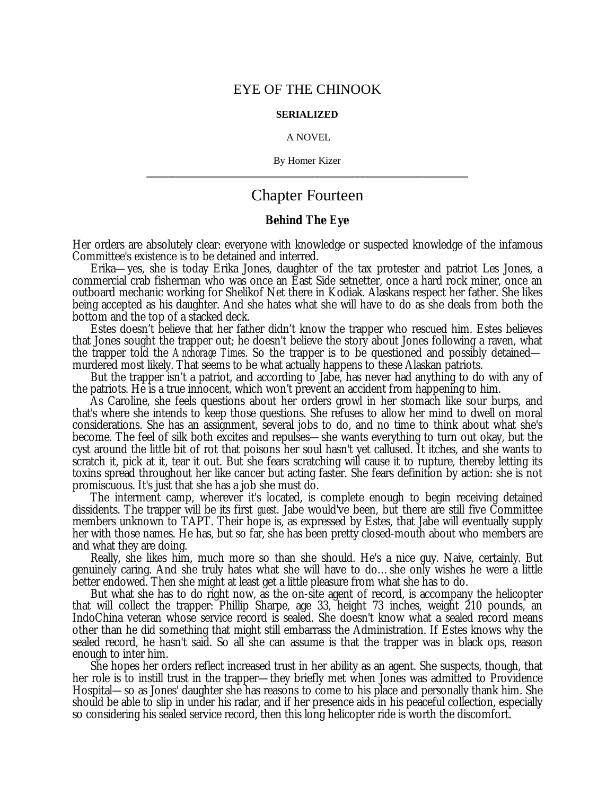## EYE OF THE CHINOOK

#### **SERIALIZED**

#### A NOVEL

By Homer Kizer **\_\_\_\_\_\_\_\_\_\_\_\_\_\_\_\_\_\_\_\_\_\_\_\_\_\_\_\_\_\_\_\_\_\_\_\_\_\_\_\_\_\_\_\_\_\_\_\_\_\_\_\_\_\_\_\_\_\_\_\_\_\_\_\_**

# Chapter Fourteen

### **Behind The Eye**

Her orders are absolutely clear: everyone with knowledge or suspected knowledge of the infamous Committee's existence is to be detained and interred.

Erika— yes, she is today Erika Jones, daughter of the tax protester and patriot Les Jones, a commercial crab fisherman who was once an East Side setnetter, once a hard rock miner, once an outboard mechanic working for Shelikof Net there in Kodiak. Alaskans respect her father. She likes being accepted as his daughter. And she hates what she will have to do as she deals from both the bottom and the top of a stacked deck.

Estes doesn't believe that her father didn't know the trapper who rescued him. Estes believes that Jones sought the trapper out; he doesn't believe the story about Jones following a raven, what the trapper told the *Anchorage Times*. So the trapper is to be questioned and possibly detained murdered most likely. That seems to be what actually happens to these Alaskan patriots.

But the trapper isn't a patriot, and according to Jabe, has never had anything to do with any of the patriots. He is a true innocent, which won't prevent an accident from happening to him.

As Caroline, she feels questions about her orders growl in her stomach like sour burps, and that's where she intends to keep those questions. She refuses to allow her mind to dwell on moral considerations. She has an assignment, several jobs to do, and no time to think about what she's become. The feel of silk both excites and repulses— she wants everything to turn out okay, but the cyst around the little bit of rot that poisons her soul hasn't yet callused. It itches, and she wants to scratch it, pick at it, tear it out. But she fears scratching will cause it to rupture, thereby letting its toxins spread throughout her like cancer but acting faster. She fears definition by action: she is not promiscuous. It's just that she has a job she must do.

The interment camp, wherever it's located, is complete enough to begin receiving detained dissidents. The trapper will be its first *guest*. Jabe would've been, but there are still five Committee members unknown to TAPT. Their hope is, as expressed by Estes, that Jabe will eventually supply her with those names. He has, but so far, she has been pretty closed-mouth about who members are and what they are doing.

Really, she likes him, much more so than she should. He's a nice guy. Naive, certainly. But genuinely caring. And she truly hates what she will have to do… she only wishes he were a little better endowed. Then she might at least get a little pleasure from what she has to do.

But what she has to do right now, as the on-site agent of record, is accompany the helicopter that will collect the trapper: Phillip Sharpe, age 33, height 73 inches, weight 210 pounds, an IndoChina veteran whose service record is sealed. She doesn't know what a sealed record means other than he did something that might still embarrass the Administration. If Estes knows why the sealed record, he hasn't said. So all she can assume is that the trapper was in black ops, reason enough to inter him.

She hopes her orders reflect increased trust in her ability as an agent. She suspects, though, that her role is to instill trust in the trapper— they briefly met when Jones was admitted to Providence Hospital— so as Jones' daughter she has reasons to come to his place and personally thank him. She should be able to slip in under his radar, and if her presence aids in his peaceful collection, especially so considering his sealed service record, then this long helicopter ride is worth the discomfort.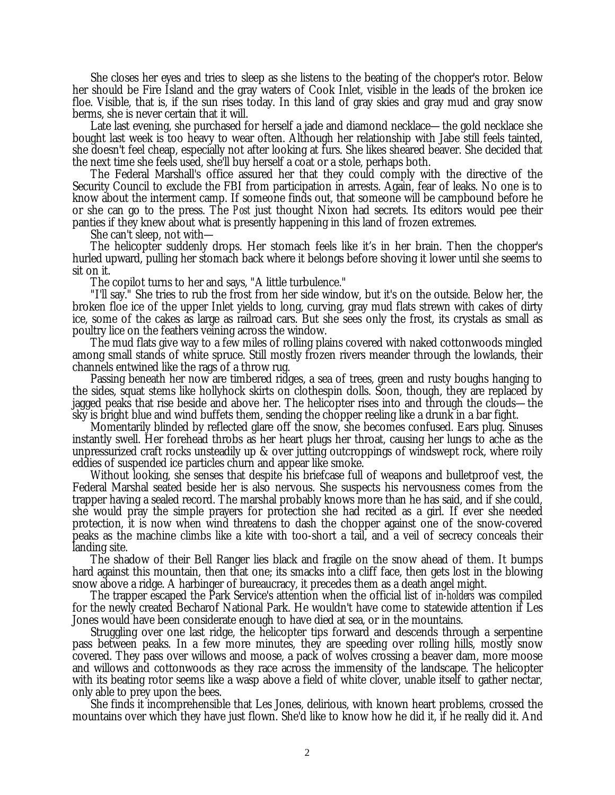She closes her eyes and tries to sleep as she listens to the beating of the chopper's rotor. Below her should be Fire Island and the gray waters of Cook Inlet, visible in the leads of the broken ice floe. Visible, that is, if the sun rises today. In this land of gray skies and gray mud and gray snow berms, she is never certain that it will.

Late last evening, she purchased for herself a jade and diamond necklace— the gold necklace she bought last week is too heavy to wear often. Although her relationship with Jabe still feels tainted, she doesn't feel cheap, especially not after looking at furs. She likes sheared beaver. She decided that the next time she feels used, she'll buy herself a coat or a stole, perhaps both.

The Federal Marshall's office assured her that they could comply with the directive of the Security Council to exclude the FBI from participation in arrests. Again, fear of leaks. No one is to know about the interment camp. If someone finds out, that someone will be campbound before he or she can go to the press. The *Post* just thought Nixon had secrets. Its editors would pee their panties if they knew about what is presently happening in this land of frozen extremes.

She can't sleep, not with—

The helicopter suddenly drops. Her stomach feels like it's in her brain. Then the chopper's hurled upward, pulling her stomach back where it belongs before shoving it lower until she seems to sit on it.

The copilot turns to her and says, "A little turbulence."

"I'll say." She tries to rub the frost from her side window, but it's on the outside. Below her, the broken floe ice of the upper Inlet yields to long, curving, gray mud flats strewn with cakes of dirty ice, some of the cakes as large as railroad cars. But she sees only the frost, its crystals as small as poultry lice on the feathers veining across the window.

The mud flats give way to a few miles of rolling plains covered with naked cottonwoods mingled among small stands of white spruce. Still mostly frozen rivers meander through the lowlands, their channels entwined like the rags of a throw rug.

Passing beneath her now are timbered ridges, a sea of trees, green and rusty boughs hanging to the sides, squat stems like hollyhock skirts on clothespin dolls. Soon, though, they are replaced by jagged peaks that rise beside and above her. The helicopter rises into and through the clouds— the sky is bright blue and wind buffets them, sending the chopper reeling like a drunk in a bar fight.

Momentarily blinded by reflected glare off the snow, she becomes confused. Ears plug. Sinuses instantly swell. Her forehead throbs as her heart plugs her throat, causing her lungs to ache as the unpressurized craft rocks unsteadily up & over jutting outcroppings of windswept rock, where roily eddies of suspended ice particles churn and appear like smoke.

Without looking, she senses that despite his briefcase full of weapons and bulletproof vest, the Federal Marshal seated beside her is also nervous. She suspects his nervousness comes from the trapper having a sealed record. The marshal probably knows more than he has said, and if she could, she would pray the simple prayers for protection she had recited as a girl. If ever she needed protection, it is now when wind threatens to dash the chopper against one of the snow-covered peaks as the machine climbs like a kite with too-short a tail, and a veil of secrecy conceals their landing site.

The shadow of their Bell Ranger lies black and fragile on the snow ahead of them. It bumps hard against this mountain, then that one; its smacks into a cliff face, then gets lost in the blowing snow above a ridge. A harbinger of bureaucracy, it precedes them as a death angel might.

The trapper escaped the Park Service's attention when the official list of *in-holders* was compiled for the newly created Becharof National Park. He wouldn't have come to statewide attention if Les Jones would have been considerate enough to have died at sea, or in the mountains.

Struggling over one last ridge, the helicopter tips forward and descends through a serpentine pass between peaks. In a few more minutes, they are speeding over rolling hills, mostly snow covered. They pass over willows and moose, a pack of wolves crossing a beaver dam, more moose and willows and cottonwoods as they race across the immensity of the landscape. The helicopter with its beating rotor seems like a wasp above a field of white clover, unable itself to gather nectar, only able to prey upon the bees.

She finds it incomprehensible that Les Jones, delirious, with known heart problems, crossed the mountains over which they have just flown. She'd like to know how he did it, if he really did it. And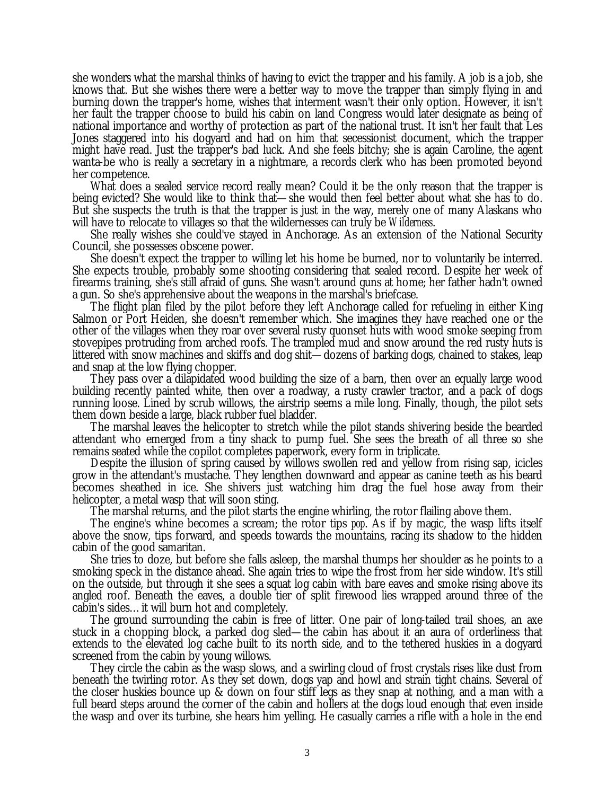she wonders what the marshal thinks of having to evict the trapper and his family. A job is a job, she knows that. But she wishes there were a better way to move the trapper than simply flying in and burning down the trapper's home, wishes that interment wasn't their only option. However, it isn't her fault the trapper choose to build his cabin on land Congress would later designate as being of national importance and worthy of protection as part of the national trust. It isn't her fault that Les Jones staggered into his dogyard and had on him that secessionist document, which the trapper might have read. Just the trapper's bad luck. And she feels bitchy; she is again Caroline, the agent wanta-be who is really a secretary in a nightmare, a records clerk who has been promoted beyond her competence.

What does a sealed service record really mean? Could it be the only reason that the trapper is being evicted? She would like to think that— she would then feel better about what she has to do. But she suspects the truth is that the trapper is just in the way, merely one of many Alaskans who will have to relocate to villages so that the wildernesses can truly be *Wilderness*.

She really wishes she could've stayed in Anchorage. As an extension of the National Security Council, she possesses obscene power.

She doesn't expect the trapper to willing let his home be burned, nor to voluntarily be interred. She expects trouble, probably some shooting considering that sealed record. Despite her week of firearms training, she's still afraid of guns. She wasn't around guns at home; her father hadn't owned a gun. So she's apprehensive about the weapons in the marshal's briefcase.

The flight plan filed by the pilot before they left Anchorage called for refueling in either King Salmon or Port Heiden, she doesn't remember which. She imagines they have reached one or the other of the villages when they roar over several rusty quonset huts with wood smoke seeping from stovepipes protruding from arched roofs. The trampled mud and snow around the red rusty huts is littered with snow machines and skiffs and dog shit— dozens of barking dogs, chained to stakes, leap and snap at the low flying chopper.

They pass over a dilapidated wood building the size of a barn, then over an equally large wood building recently painted white, then over a roadway, a rusty crawler tractor, and a pack of dogs running loose. Lined by scrub willows, the airstrip seems a mile long. Finally, though, the pilot sets them down beside a large, black rubber fuel bladder.

The marshal leaves the helicopter to stretch while the pilot stands shivering beside the bearded attendant who emerged from a tiny shack to pump fuel. She sees the breath of all three so she remains seated while the copilot completes paperwork, every form in triplicate.

Despite the illusion of spring caused by willows swollen red and yellow from rising sap, icicles grow in the attendant's mustache. They lengthen downward and appear as canine teeth as his beard becomes sheathed in ice. She shivers just watching him drag the fuel hose away from their helicopter, a metal wasp that will soon sting.

The marshal returns, and the pilot starts the engine whirling, the rotor flailing above them.

The engine's whine becomes a scream; the rotor tips *pop*. As if by magic, the wasp lifts itself above the snow, tips forward, and speeds towards the mountains, racing its shadow to the hidden cabin of the good samaritan.

She tries to doze, but before she falls asleep, the marshal thumps her shoulder as he points to a smoking speck in the distance ahead. She again tries to wipe the frost from her side window. It's still on the outside, but through it she sees a squat log cabin with bare eaves and smoke rising above its angled roof. Beneath the eaves, a double tier of split firewood lies wrapped around three of the cabin's sides… it will burn hot and completely.

The ground surrounding the cabin is free of litter. One pair of long-tailed trail shoes, an axe stuck in a chopping block, a parked dog sled— the cabin has about it an aura of orderliness that extends to the elevated log cache built to its north side, and to the tethered huskies in a dogyard screened from the cabin by young willows.

They circle the cabin as the wasp slows, and a swirling cloud of frost crystals rises like dust from beneath the twirling rotor. As they set down, dogs yap and howl and strain tight chains. Several of the closer huskies bounce up & down on four stiff legs as they snap at nothing, and a man with a full beard steps around the corner of the cabin and hollers at the dogs loud enough that even inside the wasp and over its turbine, she hears him yelling. He casually carries a rifle with a hole in the end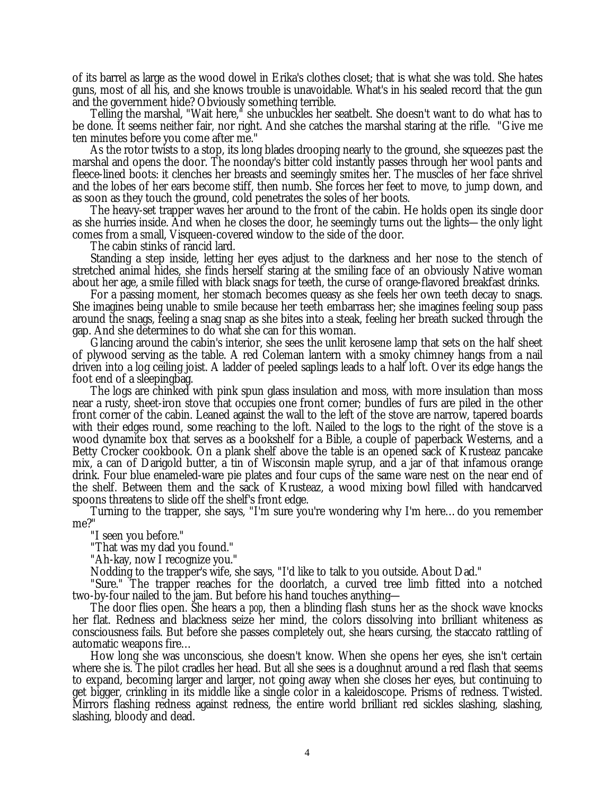of its barrel as large as the wood dowel in Erika's clothes closet; that is what she was told. She hates guns, most of all his, and she knows trouble is unavoidable. What's in his sealed record that the gun and the government hide? Obviously something terrible.

Telling the marshal, "Wait here," she unbuckles her seatbelt. She doesn't want to do what has to be done. It seems neither fair, nor right. And she catches the marshal staring at the rifle. "Give me ten minutes before you come after me."

As the rotor twists to a stop, its long blades drooping nearly to the ground, she squeezes past the marshal and opens the door. The noonday's bitter cold instantly passes through her wool pants and fleece-lined boots: it clenches her breasts and seemingly smites her. The muscles of her face shrivel and the lobes of her ears become stiff, then numb. She forces her feet to move, to jump down, and as soon as they touch the ground, cold penetrates the soles of her boots.

The heavy-set trapper waves her around to the front of the cabin. He holds open its single door as she hurries inside. And when he closes the door, he seemingly turns out the lights— the only light comes from a small, Visqueen-covered window to the side of the door.

The cabin stinks of rancid lard.

Standing a step inside, letting her eyes adjust to the darkness and her nose to the stench of stretched animal hides, she finds herself staring at the smiling face of an obviously Native woman about her age, a smile filled with black snags for teeth, the curse of orange-flavored breakfast drinks.

For a passing moment, her stomach becomes queasy as she feels her own teeth decay to snags. She imagines being unable to smile because her teeth embarrass her; she imagines feeling soup pass around the snags, feeling a snag snap as she bites into a steak, feeling her breath sucked through the gap. And she determines to do what she can for this woman.

Glancing around the cabin's interior, she sees the unlit kerosene lamp that sets on the half sheet of plywood serving as the table. A red Coleman lantern with a smoky chimney hangs from a nail driven into a log ceiling joist. A ladder of peeled saplings leads to a half loft. Over its edge hangs the foot end of a sleepingbag.

The logs are chinked with pink spun glass insulation and moss, with more insulation than moss near a rusty, sheet-iron stove that occupies one front corner; bundles of furs are piled in the other front corner of the cabin. Leaned against the wall to the left of the stove are narrow, tapered boards with their edges round, some reaching to the loft. Nailed to the logs to the right of the stove is a wood dynamite box that serves as a bookshelf for a Bible, a couple of paperback Westerns, and a Betty Crocker cookbook. On a plank shelf above the table is an opened sack of Krusteaz pancake mix, a can of Darigold butter, a tin of Wisconsin maple syrup, and a jar of that infamous orange drink. Four blue enameled-ware pie plates and four cups of the same ware nest on the near end of the shelf. Between them and the sack of Krusteaz, a wood mixing bowl filled with handcarved spoons threatens to slide off the shelf's front edge.

Turning to the trapper, she says, "I'm sure you're wondering why I'm here… do you remember me?"

"I seen you before."

"That was my dad you found."

"Ah-kay, now I recognize you."

Nodding to the trapper's wife, she says, "I'd like to talk to you outside. About Dad."

"Sure." The trapper reaches for the doorlatch, a curved tree limb fitted into a notched two-by-four nailed to the jam. But before his hand touches anything—

The door flies open. She hears a *pop*, then a blinding flash stuns her as the shock wave knocks her flat. Redness and blackness seize her mind, the colors dissolving into brilliant whiteness as consciousness fails. But before she passes completely out, she hears cursing, the staccato rattling of automatic weapons fire…

How long she was unconscious, she doesn't know. When she opens her eyes, she isn't certain where she is. The pilot cradles her head. But all she sees is a doughnut around a red flash that seems to expand, becoming larger and larger, not going away when she closes her eyes, but continuing to get bigger, crinkling in its middle like a single color in a kaleidoscope. Prisms of redness. Twisted. Mirrors flashing redness against redness, the entire world brilliant red sickles slashing, slashing, slashing, bloody and dead.